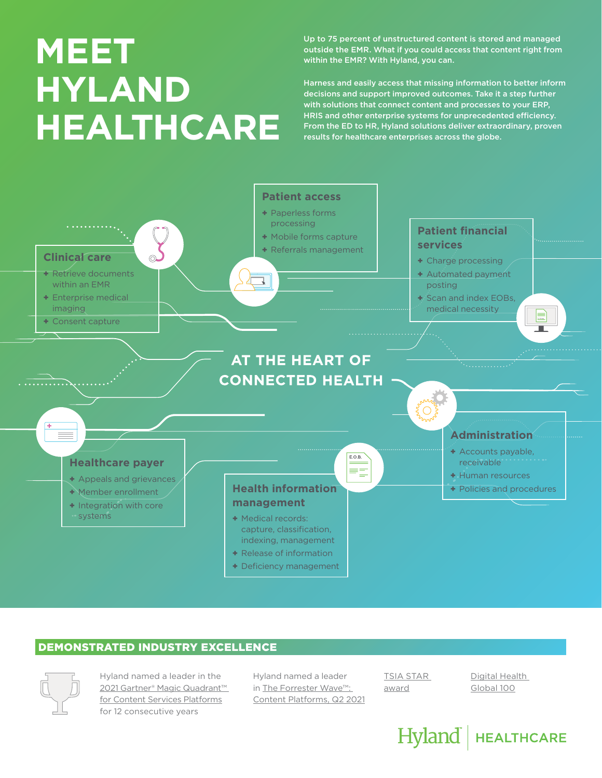# **MEET HYLAND HEALTHCARE**

Up to 75 percent of unstructured content is stored and managed outside the EMR. What if you could access that content right from within the EMR? With Hyland, you can.

Harness and easily access that missing information to better inform decisions and support improved outcomes. Take it a step further with solutions that connect content and processes to your ERP, HRIS and other enterprise systems for unprecedented efficiency. From the ED to HR, Hyland solutions deliver extraordinary, proven results for healthcare enterprises across the globe.



#### DEMONSTRATED INDUSTRY EXCELLENCE



Hyland named a leader in the 2021 Gartner® Magic Quadrant™ for Content Services Platforms for 12 consecutive years

Hyland named a leader in [The Forrester Wave™:](https://www.hyland.com/en/learn/it-programs/forrester-wave-content-services-Q2-2021)  [Content Platforms, Q2 2021](https://www.hyland.com/en/learn/it-programs/forrester-wave-content-services-Q2-2021) [TSIA STAR](https://news.hyland.com/hyland-presented-star-award-for-technology-services-excellence/)  [award](https://news.hyland.com/hyland-presented-star-award-for-technology-services-excellence/)

[Digital Health](https://thejournalofmhealth.com/digital-health-100/)  [Global 100](https://thejournalofmhealth.com/digital-health-100/)